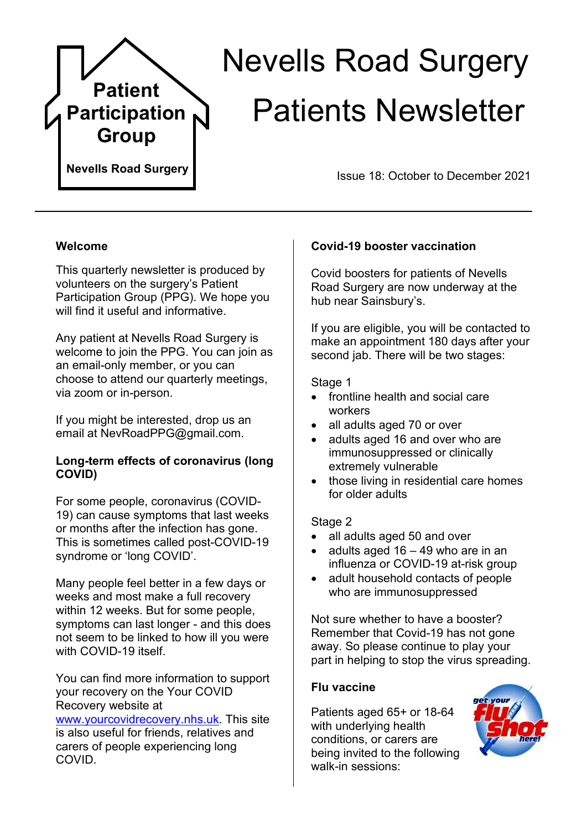

# Nevells Road Surgery Patients Newsletter

Issue 18: October to December 2021

## **Welcome**

This quarterly newsletter is produced by volunteers on the surgery's Patient Participation Group (PPG). We hope you will find it useful and informative.

Any patient at Nevells Road Surgery is welcome to join the PPG. You can join as an email-only member, or you can choose to attend our quarterly meetings, via zoom or in-person.

If you might be interested, drop us an email at NevRoadPPG@gmail.com.

## **Long-term effects of coronavirus (long COVID)**

For some people, coronavirus (COVID-19) can cause symptoms that last weeks or months after the infection has gone. This is sometimes called post-COVID-19 syndrome or 'long COVID'.

Many people feel better in a few days or weeks and most make a full recovery within 12 weeks. But for some people, symptoms can last longer - and this does not seem to be linked to how ill you were with COVID-19 itself.

You can find more information to support your recovery on the Your COVID Recovery website at

[www.yourcovidrecovery.nhs.uk.](http://www.yourcovidrecovery.nhs.uk/) This site is also useful for friends, relatives and carers of people experiencing long COVID.

# **Covid-19 booster vaccination**

Covid boosters for patients of Nevells Road Surgery are now underway at the hub near Sainsbury's.

If you are eligible, you will be contacted to make an appointment 180 days after your second jab. There will be two stages:

## Stage 1

- frontline health and social care workers
- all adults aged 70 or over
- adults aged 16 and over who are immunosuppressed or clinically extremely vulnerable
- those living in residential care homes for older adults

#### Stage 2

- all adults aged 50 and over
- adults aged  $16 49$  who are in an influenza or COVID-19 at-risk group
- adult household contacts of people who are immunosuppressed

Not sure whether to have a booster? Remember that Covid-19 has not gone away. So please continue to play your part in helping to stop the virus spreading.

#### **Flu vaccine**

Patients aged 65+ or 18-64 with underlying health conditions, or carers are being invited to the following walk-in sessions: